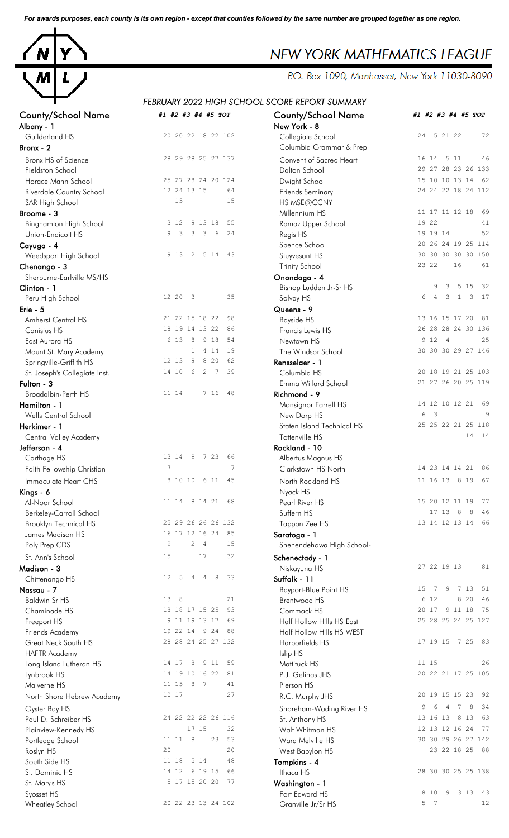*For awards purposes, each county is its own region - except that counties followed by the same number are grouped together as one region.*



# *FEBRUARY 2022 HIGH SCHOOL SCORE REPORT SUMMARY*

| County/Scribol Name           | #1 #2 #3 #4 #3 TUT                          | County/Jerroof Marne       | #1 #2 #3 #4 #3 TOT                       |
|-------------------------------|---------------------------------------------|----------------------------|------------------------------------------|
| Albany - 1                    |                                             | New York - 8               |                                          |
| Guilderland HS                | 20 20 22 18 22 102                          | Collegiate School          | 5 21 22<br>72<br>24                      |
| Bronx - 2                     |                                             | Columbia Grammar & Prep    |                                          |
| Bronx HS of Science           | 28 29 28 25 27 137                          | Convent of Sacred Heart    | 16 14 5 11<br>46                         |
| Fieldston School              |                                             | Dalton School              | 29 27 28 23 26 133                       |
| Horace Mann School            | 25 27 28 24 20 124                          | Dwight School              | 15 10 10 13 14 62                        |
| Riverdale Country School      | 12 24 13 15<br>64                           | <b>Friends Seminary</b>    | 24 24 22 18 24 112                       |
| SAR High School               | 15<br>15                                    | HS MSE@CCNY                |                                          |
| Broome - 3                    |                                             | Millennium HS              | 11 17 11 12 18<br>69                     |
| <b>Binghamton High School</b> | 55<br>3 1 2<br>9 13 18                      | Ramaz Upper School         | 19 22<br>41                              |
| Union-Endicott HS             | 3<br>3<br>3<br>$\epsilon$<br>9<br>24        | Regis HS                   | 19 19 14<br>52                           |
| Cayuga - 4                    |                                             | Spence School              | 20 26 24 19 25 114                       |
| Weedsport High School         | $\overline{c}$<br>5 14<br>43<br>9 1 3       | Stuyvesant HS              | 30 30 30 30 30 150                       |
| Chenango - 3                  |                                             | <b>Trinity School</b>      | 23 22<br>16<br>61                        |
| Sherburne-Earlville MS/HS     |                                             | Onondaga - 4               |                                          |
| Clinton - 1                   |                                             | Bishop Ludden Jr-Sr HS     | 32<br>9<br>3<br>5 1 5                    |
| Peru High School              | 12 20<br>$\overline{\mathbf{3}}$<br>35      | Solvay HS                  | 17<br>6<br>3<br>1<br>3<br>$\overline{4}$ |
| Erie - 5                      |                                             | Queens - 9                 |                                          |
| Amherst Central HS            | 98<br>21 22 15 18 22                        | <b>Bayside HS</b>          | 13 16 15 17 20<br>81                     |
| Canisius HS                   | 18 19 14 13 22<br>86                        | Francis Lewis HS           | 26 28 28 24 30 136                       |
| East Aurora HS                | 6 13<br>8<br>9 18<br>54                     | Newtown HS                 | 9 12 4<br>25                             |
| Mount St. Mary Academy        | 19<br>$\mathbf 1$<br>4 1 4                  | The Windsor School         | 30 30 30 29 27 146                       |
| Springville-Griffith HS       | 8 2 0<br>12 13<br>9<br>62                   | Rensselaer - 1             |                                          |
| St. Joseph's Collegiate Inst. | 14 10<br>6<br>$2 \overline{7}$<br>39        | Columbia HS                | 20 18 19 21 25 103                       |
| Fulton - 3                    |                                             | Emma Willard School        | 21 27 26 20 25 119                       |
| Broadalbin-Perth HS           | 7 16<br>48<br>11 14                         | Richmond - 9               |                                          |
|                               |                                             |                            | 14 12 10 12 21 69                        |
| Hamilton - 1                  |                                             | Monsignor Farrell HS       | $\overline{\mathbf{3}}$<br>9<br>6        |
| Wells Central School          |                                             | New Dorp HS                | 25 25 22 21 25 118                       |
| Herkimer - 1                  |                                             | Staten Island Technical HS | 14 14                                    |
| Central Valley Academy        |                                             | Tottenville HS             |                                          |
| Jefferson - 4                 | 13 14                                       | Rockland - 10              |                                          |
| Carthage HS                   | - 9<br>7 23<br>66                           | Albertus Magnus HS         |                                          |
| Faith Fellowship Christian    | 7<br>7                                      | Clarkstown HS North        | 14 23 14 14 21<br>86                     |
| Immaculate Heart CHS          | 8 10 10<br>6 11<br>45                       | North Rockland HS          | 11 16 13 8 19<br>67                      |
| Kings - 6                     |                                             | Nyack HS                   |                                          |
| Al-Noor School                | 11 14 8 14 21<br>68                         | Pearl River HS             | 15 20 12 11 19<br>77                     |
| Berkeley-Carroll School       |                                             | Suffern HS                 | 17 13 8<br>8<br>46                       |
| <b>Brooklyn Technical HS</b>  | 25 29 26 26 26 132                          | Tappan Zee HS              | 13 14 12 13 14<br>66                     |
| James Madison HS              | 16 17 12 16 24<br>85                        | Saratoga - 1               |                                          |
| Poly Prep CDS                 | 9<br>$\overline{c}$<br>$\overline{4}$<br>15 | Shenendehowa High School-  |                                          |
| St. Ann's School              | 17<br>32<br>15                              | Schenectady - 1            |                                          |
| Madison - 3                   |                                             | Niskayuna HS               | 27 22 19 13<br>81                        |
| Chittenango HS                | 8<br>33<br>12<br>5<br>4<br>4                | Suffolk - 11               |                                          |
| Nassau - 7                    |                                             | Bayport-Blue Point HS      | 7 13<br>15<br>7<br>9<br>- 51             |
| <b>Baldwin Sr HS</b>          | 13<br>8<br>21                               | <b>Brentwood HS</b>        | 6 12<br>8 2 0<br>46                      |
| Chaminade HS                  | 18 18 17 15 25<br>93                        | Commack HS                 | 20 17<br>9 11 18<br>75                   |
| Freeport HS                   | 9 11 19 13 17<br>69                         | Half Hollow Hills HS East  | 25 28 25 24 25 127                       |
| Friends Academy               | 19 22 14 9 24<br>88                         | Half Hollow Hills HS WEST  |                                          |
| Great Neck South HS           | 28 28 24 25 27 132                          | Harborfields HS            | 17 19 15 7 25<br>83                      |
| <b>HAFTR Academy</b>          |                                             | Islip HS                   |                                          |
| Long Island Lutheran HS       | 59<br>8<br>9 1 1<br>14 17                   | Mattituck HS               | 11 15<br>26                              |
| Lynbrook HS                   | 14 19 10 16 22<br>81                        | P.J. Gelinas JHS           | 20 22 21 17 25 105                       |
| Malverne HS                   | 11 15<br>7<br>41<br>8                       | Pierson HS                 |                                          |
| North Shore Hebrew Academy    | 10 17<br>27                                 | R.C. Murphy JHS            | 20 19 15 15 23<br>-92                    |
| Oyster Bay HS                 |                                             | Shoreham-Wading River HS   | 7<br>8<br>34<br>6<br>$\overline{4}$<br>9 |
| Paul D. Schreiber HS          | 24 22 22 22 26 116                          | St. Anthony HS             | 13 16 13<br>8 1 3<br>63                  |
|                               | 17 15<br>32                                 |                            | 77<br>12 13 12 16 24                     |
| Plainview-Kennedy HS          | 11 11<br>8<br>23<br>53                      | Walt Whitman HS            | 30 30 29 26 27 142                       |
| Portledge School              | 20<br>20                                    | Ward Melville HS           | 23 22 18 25 88                           |
| Roslyn HS                     |                                             | West Babylon HS            |                                          |
| South Side HS                 | 11 18 5 14<br>48                            | Tompkins - 4               |                                          |
| St. Dominic HS                | 14 12 6 19 15<br>66                         | Ithaca HS                  | 28 30 30 25 25 138                       |
| St. Mary's HS                 | 5 17 15 20 20<br>77                         | Washington - 1             |                                          |
| Syosset HS                    |                                             | Fort Edward HS             | 3 1 3<br>43<br>8 10<br>9                 |
| Wheatley School               | 20 22 23 13 24 102                          | Granville Jr/Sr HS         | 5 7<br>12                                |

| <b>County/School Name</b><br>Albany - 1 | #1 #2 #3 #4 #5 TOT                                     | <b>County/School Name</b><br>New York - 8    | #1 #2 #3 #4 #5 TOT                                  |
|-----------------------------------------|--------------------------------------------------------|----------------------------------------------|-----------------------------------------------------|
| Guilderland HS<br>Bronx - 2             | 20 20 22 18 22 102                                     | Collegiate School<br>Columbia Grammar & Prep | 24 5 21 22<br>72                                    |
|                                         |                                                        |                                              | 46                                                  |
| Bronx HS of Science                     | 28 29 28 25 27 137                                     | Convent of Sacred Heart                      | 16 14 5 11<br>29 27 28 23 26 133                    |
| Fieldston School                        |                                                        | Dalton School                                | 15 10 10 13 14                                      |
| Horace Mann School                      | 25 27 28 24 20 124                                     | Dwight School                                | 62<br>24 24 22 18 24 112                            |
| Riverdale Country School                | 12 24 13 15<br>64                                      | <b>Friends Seminary</b>                      |                                                     |
| SAR High School                         | 15<br>15                                               | HS MSE@CCNY                                  |                                                     |
| Broome - 3                              |                                                        | Millennium HS                                | 11 17 11 12 18<br>69                                |
| <b>Binghamton High School</b>           | 3 1 2<br>9 13 18<br>55                                 | Ramaz Upper School                           | 19 22<br>41                                         |
| Union-Endicott HS                       | 3<br>3 <sup>3</sup><br>6<br>24<br>9                    | Regis HS                                     | 19 19 14<br>52                                      |
| Cayuga - 4                              |                                                        | Spence School                                | 20 26 24 19 25 114                                  |
| Weedsport High School                   | 9 1 3 2<br>5 14<br>43                                  | Stuyvesant HS                                | 30 30 30 30 30 150                                  |
| Chenango - 3                            |                                                        | <b>Trinity School</b>                        | 23 22<br>16<br>61                                   |
| Sherburne-Earlville MS/HS               |                                                        | Onondaga - 4                                 |                                                     |
| Clinton - 1                             |                                                        | Bishop Ludden Jr-Sr HS                       | 5 15<br>9<br>3<br>32                                |
| Peru High School                        | 12 20<br>$\mathbf{3}$<br>35                            | Solvay HS                                    | 3<br>$\mathbf{1}$<br>3<br>17<br>6<br>$\overline{4}$ |
| Erie - 5                                |                                                        | Queens - 9                                   |                                                     |
| Amherst Central HS                      | 98<br>21 22 15 18 22                                   | <b>Bayside HS</b>                            | 13 16 15 17 20<br>81                                |
| <b>Canisius HS</b>                      | 18 19 14 13 22<br>86                                   | Francis Lewis HS                             | 26 28 28 24 30 136                                  |
| East Aurora HS                          | 6 1 3<br>54<br>8<br>9 18                               | Newtown HS                                   | 9 1 2<br>$\overline{4}$<br>25                       |
| Mount St. Mary Academy                  | $\mathbf{1}$<br>4 1 4<br>19                            | The Windsor School                           | 30 30 30 29 27 146                                  |
| Springville-Griffith HS                 | 12 13<br>8 2 0<br>62<br>9                              | Rensselaer - 1                               |                                                     |
| St. Joseph's Collegiate Inst.           | 14 10<br>6<br>$\overline{c}$<br>7<br>39                | Columbia HS                                  | 20 18 19 21 25 103                                  |
| Fulton - 3                              |                                                        | Emma Willard School                          | 21 27 26 20 25 119                                  |
| Broadalbin-Perth HS                     | 7 16<br>48<br>11 14                                    | Richmond - 9                                 |                                                     |
| Hamilton - 1                            |                                                        | Monsignor Farrell HS                         | 14 12 10 12 21 69                                   |
| Wells Central School                    |                                                        | New Dorp HS                                  | $\overline{\mathbf{3}}$<br>6<br>9                   |
| Herkimer - 1                            |                                                        | Staten Island Technical HS                   | 25 25 22 21 25 118                                  |
| <b>Central Valley Academy</b>           |                                                        | Tottenville HS                               | 14<br>14                                            |
| Jefferson - 4                           |                                                        | Rockland - 10                                |                                                     |
| Carthage HS                             | 13 14<br>9 7 23<br>66                                  | Albertus Magnus HS                           |                                                     |
| Faith Fellowship Christian              | 7<br>7                                                 | Clarkstown HS North                          | 14 23 14 14 21 86                                   |
|                                         |                                                        |                                              |                                                     |
| Immaculate Heart CHS                    | 8 10 10 6 11<br>45                                     | North Rockland HS                            | 11 16 13 8 19 67                                    |
| Kings - 6                               |                                                        | Nyack HS                                     |                                                     |
| Al-Noor School                          | 8 14 21<br>11 14<br>68                                 | Pearl River HS                               | 15 20 12 11 19<br>77                                |
| Berkeley-Carroll School                 |                                                        | Suffern HS                                   | 17 13 8<br>46<br>8                                  |
| <b>Brooklyn Technical HS</b>            | 25 29 26 26 26 132                                     | Tappan Zee HS                                | 13 14 12 13 14<br>66                                |
| James Madison HS                        | 16 17 12 16 24<br>85                                   | Saratoga - 1                                 |                                                     |
| Poly Prep CDS                           | $\overline{9}$<br>2 <sub>4</sub><br>15                 | Shenendehowa High School-                    |                                                     |
| St. Ann's School                        | 17<br>15<br>32                                         | Schenectady - 1                              |                                                     |
| Madison - 3                             |                                                        | Niskayuna HS                                 | 27 22 19 13<br>81                                   |
| Chittenango HS                          | 8<br>5<br>33<br>12 <sub>2</sub><br>$\overline{4}$<br>4 | Suffolk - 11                                 |                                                     |
| Nassau - 7                              |                                                        | Bayport-Blue Point HS                        | 7 13<br>15<br>9<br>51<br>-7                         |
| <b>Baldwin Sr HS</b>                    | 13<br>8<br>21                                          | <b>Brentwood HS</b>                          | 6 12<br>8 2 0<br>46                                 |
| Chaminade HS                            | 93<br>18 18 17 15 25                                   | Commack HS                                   | 20 17<br>9 11 18<br>75                              |
| Freeport HS                             | 9 11 19 13 17<br>69                                    | Half Hollow Hills HS East                    | 25 28 25 24 25 127                                  |
| Friends Academy                         | 19 22 14 9 24<br>88                                    | Half Hollow Hills HS WEST                    |                                                     |
| Great Neck South HS                     | 28 28 24 25 27 132                                     | Harborfields HS                              | 17 19 15 7 25<br>83                                 |
| <b>HAFTR Academy</b>                    |                                                        | Islip HS                                     |                                                     |
| Long Island Lutheran HS                 | 14 17<br>8<br>9 11<br>59                               | Mattituck HS                                 | 11 15<br>26                                         |
| Lynbrook HS                             | 14 19 10 16 22<br>81                                   | P.J. Gelinas JHS                             | 20 22 21 17 25 105                                  |
| Malverne HS                             | 11 15<br>8<br>$\overline{7}$<br>41                     | Pierson HS                                   |                                                     |
|                                         | 1017<br>27                                             |                                              | 20 19 15 15 23<br>-92                               |
| North Shore Hebrew Academy              |                                                        | R.C. Murphy JHS                              |                                                     |
| Oyster Bay HS                           |                                                        | Shoreham-Wading River HS                     | $7\overline{ }$<br>8<br>$\overline{4}$<br>34<br>6   |
| Paul D. Schreiber HS                    | 24 22 22 22 26 116                                     | St. Anthony HS                               | 63<br>13 16 13<br>8 1 3                             |
| Plainview-Kennedy HS                    | 17 15<br>32                                            | Walt Whitman HS                              | 12 13 12 16 24<br>77                                |
| Portledge School                        | 11 11 8<br>23<br>53                                    | Ward Melville HS                             | 30 30 29 26 27 142                                  |
| Roslyn HS                               | 20<br>20                                               | West Babylon HS                              | 23 22 18 25<br>88                                   |
| South Side HS                           | 5 14<br>11 18<br>48                                    | Tompkins - 4                                 |                                                     |
| St. Dominic HS                          | 14 12<br>6 19 15<br>66                                 | Ithaca HS                                    | 28 30 30 25 25 138                                  |
| St. Mary's HS                           | 5 17 15 20 20<br>77                                    | Washington - 1                               |                                                     |
| Syosset HS                              |                                                        | Fort Edward HS                               | 9<br>3 1 3<br>8 10<br>43                            |
| Wheatley School                         | 20 22 23 13 24 102                                     | Granville Jr/Sr HS                           | 5 7<br>12                                           |
|                                         |                                                        |                                              |                                                     |

### NEW YORK MATHEMATICS LEAGUE

P.O. Box 1090, Manhasset, New York 11030-8090